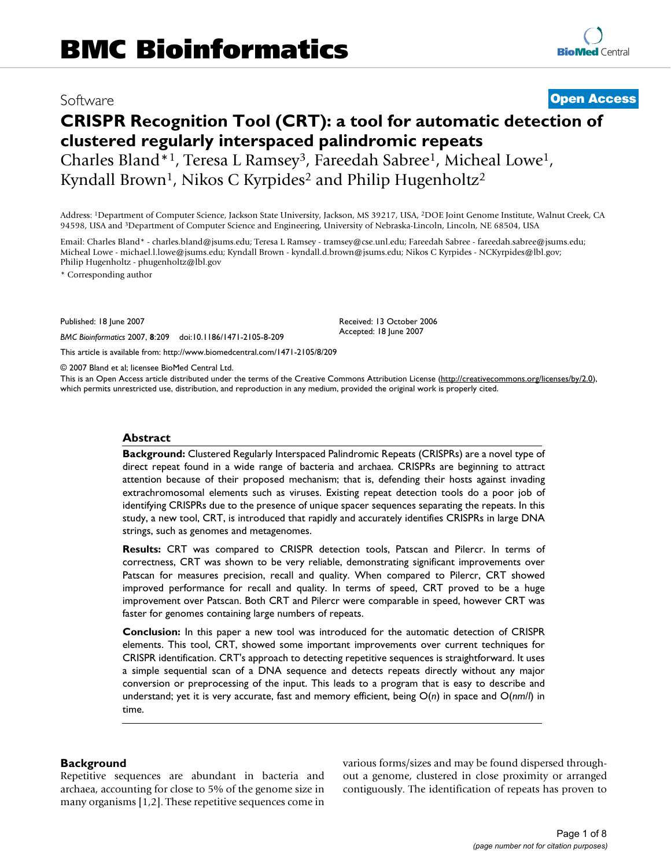## Software **[Open Access](http://www.biomedcentral.com/info/about/charter/)**

# **CRISPR Recognition Tool (CRT): a tool for automatic detection of clustered regularly interspaced palindromic repeats** Charles Bland<sup>\*1</sup>, Teresa L Ramsey<sup>3</sup>, Fareedah Sabree<sup>1</sup>, Micheal Lowe<sup>1</sup>,

Kyndall Brown<sup>1</sup>, Nikos C Kyrpides<sup>2</sup> and Philip Hugenholtz<sup>2</sup>

Address: 1Department of Computer Science, Jackson State University, Jackson, MS 39217, USA, 2DOE Joint Genome Institute, Walnut Creek, CA 94598, USA and 3Department of Computer Science and Engineering, University of Nebraska-Lincoln, Lincoln, NE 68504, USA

Email: Charles Bland\* - charles.bland@jsums.edu; Teresa L Ramsey - tramsey@cse.unl.edu; Fareedah Sabree - fareedah.sabree@jsums.edu; Micheal Lowe - michael.l.lowe@jsums.edu; Kyndall Brown - kyndall.d.brown@jsums.edu; Nikos C Kyrpides - NCKyrpides@lbl.gov; Philip Hugenholtz - phugenholtz@lbl.gov

\* Corresponding author

Published: 18 June 2007

*BMC Bioinformatics* 2007, **8**:209 doi:10.1186/1471-2105-8-209

Received: 13 October 2006 Accepted: 18 June 2007

[This article is available from: http://www.biomedcentral.com/1471-2105/8/209](http://www.biomedcentral.com/1471-2105/8/209)

© 2007 Bland et al; licensee BioMed Central Ltd.

This is an Open Access article distributed under the terms of the Creative Commons Attribution License [\(http://creativecommons.org/licenses/by/2.0\)](http://creativecommons.org/licenses/by/2.0), which permits unrestricted use, distribution, and reproduction in any medium, provided the original work is properly cited.

#### **Abstract**

**Background:** Clustered Regularly Interspaced Palindromic Repeats (CRISPRs) are a novel type of direct repeat found in a wide range of bacteria and archaea. CRISPRs are beginning to attract attention because of their proposed mechanism; that is, defending their hosts against invading extrachromosomal elements such as viruses. Existing repeat detection tools do a poor job of identifying CRISPRs due to the presence of unique spacer sequences separating the repeats. In this study, a new tool, CRT, is introduced that rapidly and accurately identifies CRISPRs in large DNA strings, such as genomes and metagenomes.

**Results:** CRT was compared to CRISPR detection tools, Patscan and Pilercr. In terms of correctness, CRT was shown to be very reliable, demonstrating significant improvements over Patscan for measures precision, recall and quality. When compared to Pilercr, CRT showed improved performance for recall and quality. In terms of speed, CRT proved to be a huge improvement over Patscan. Both CRT and Pilercr were comparable in speed, however CRT was faster for genomes containing large numbers of repeats.

**Conclusion:** In this paper a new tool was introduced for the automatic detection of CRISPR elements. This tool, CRT, showed some important improvements over current techniques for CRISPR identification. CRT's approach to detecting repetitive sequences is straightforward. It uses a simple sequential scan of a DNA sequence and detects repeats directly without any major conversion or preprocessing of the input. This leads to a program that is easy to describe and understand; yet it is very accurate, fast and memory efficient, being O(*n*) in space and O(*nm*/*l*) in time.

#### **Background**

Repetitive sequences are abundant in bacteria and archaea, accounting for close to 5% of the genome size in many organisms [1,2]. These repetitive sequences come in various forms/sizes and may be found dispersed throughout a genome, clustered in close proximity or arranged contiguously. The identification of repeats has proven to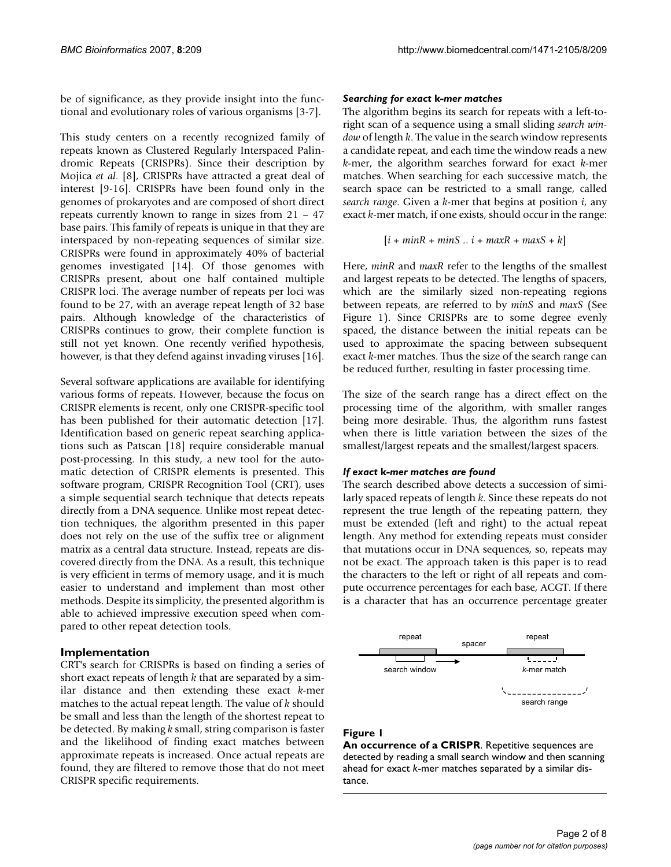be of significance, as they provide insight into the functional and evolutionary roles of various organisms [3-7].

This study centers on a recently recognized family of repeats known as Clustered Regularly Interspaced Palindromic Repeats (CRISPRs). Since their description by Mojica *et al*. [8], CRISPRs have attracted a great deal of interest [9-16]. CRISPRs have been found only in the genomes of prokaryotes and are composed of short direct repeats currently known to range in sizes from 21 – 47 base pairs. This family of repeats is unique in that they are interspaced by non-repeating sequences of similar size. CRISPRs were found in approximately 40% of bacterial genomes investigated [14]. Of those genomes with CRISPRs present, about one half contained multiple CRISPR loci. The average number of repeats per loci was found to be 27, with an average repeat length of 32 base pairs. Although knowledge of the characteristics of CRISPRs continues to grow, their complete function is still not yet known. One recently verified hypothesis, however, is that they defend against invading viruses [16].

Several software applications are available for identifying various forms of repeats. However, because the focus on CRISPR elements is recent, only one CRISPR-specific tool has been published for their automatic detection [17]. Identification based on generic repeat searching applications such as Patscan [18] require considerable manual post-processing. In this study, a new tool for the automatic detection of CRISPR elements is presented. This software program, CRISPR Recognition Tool (CRT), uses a simple sequential search technique that detects repeats directly from a DNA sequence. Unlike most repeat detection techniques, the algorithm presented in this paper does not rely on the use of the suffix tree or alignment matrix as a central data structure. Instead, repeats are discovered directly from the DNA. As a result, this technique is very efficient in terms of memory usage, and it is much easier to understand and implement than most other methods. Despite its simplicity, the presented algorithm is able to achieved impressive execution speed when compared to other repeat detection tools.

#### **Implementation**

CRT's search for CRISPRs is based on finding a series of short exact repeats of length *k* that are separated by a similar distance and then extending these exact *k*-mer matches to the actual repeat length. The value of *k* should be small and less than the length of the shortest repeat to be detected. By making *k* small, string comparison is faster and the likelihood of finding exact matches between approximate repeats is increased. Once actual repeats are found, they are filtered to remove those that do not meet CRISPR specific requirements.

#### *Searching for exact* **k***-mer matches*

The algorithm begins its search for repeats with a left-toright scan of a sequence using a small sliding *search window* of length *k*. The value in the search window represents a candidate repeat, and each time the window reads a new *k*-mer, the algorithm searches forward for exact *k*-mer matches. When searching for each successive match, the search space can be restricted to a small range, called *search range*. Given a *k*-mer that begins at position *i*, any exact *k*-mer match, if one exists, should occur in the range:

$$
[i + minR + minS .. i + maxR + maxS + k]
$$

Here, *minR* and *maxR* refer to the lengths of the smallest and largest repeats to be detected. The lengths of spacers, which are the similarly sized non-repeating regions between repeats, are referred to by *minS* and *maxS* (See Figure 1). Since CRISPRs are to some degree evenly spaced, the distance between the initial repeats can be used to approximate the spacing between subsequent exact *k*-mer matches. Thus the size of the search range can be reduced further, resulting in faster processing time.

The size of the search range has a direct effect on the processing time of the algorithm, with smaller ranges being more desirable. Thus, the algorithm runs fastest when there is little variation between the sizes of the smallest/largest repeats and the smallest/largest spacers.

#### *If exact* **k***-mer matches are found*

The search described above detects a succession of similarly spaced repeats of length *k*. Since these repeats do not represent the true length of the repeating pattern, they must be extended (left and right) to the actual repeat length. Any method for extending repeats must consider that mutations occur in DNA sequences, so, repeats may not be exact. The approach taken is this paper is to read the characters to the left or right of all repeats and compute occurrence percentages for each base, ACGT. If there is a character that has an occurrence percentage greater



#### **Figure 1**

**An occurrence of a CRISPR**. Repetitive sequences are detected by reading a small search window and then scanning ahead for exact *k*-mer matches separated by a similar distance.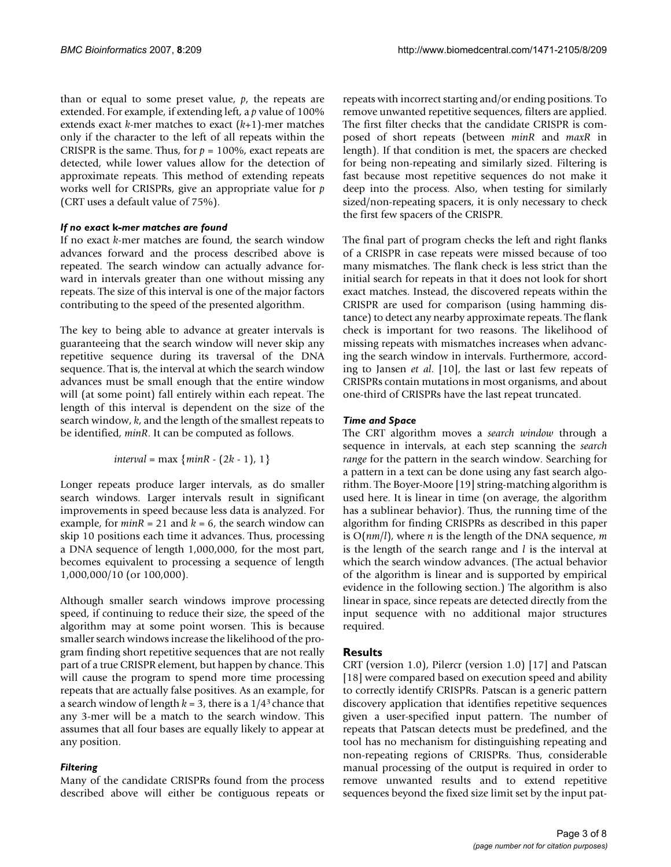than or equal to some preset value, *p*, the repeats are extended. For example, if extending left, a *p* value of 100% extends exact *k*-mer matches to exact (*k*+1)-mer matches only if the character to the left of all repeats within the CRISPR is the same. Thus, for  $p = 100\%$ , exact repeats are detected, while lower values allow for the detection of approximate repeats. This method of extending repeats works well for CRISPRs, give an appropriate value for *p* (CRT uses a default value of 75%).

#### *If no exact* **k***-mer matches are found*

If no exact *k*-mer matches are found, the search window advances forward and the process described above is repeated. The search window can actually advance forward in intervals greater than one without missing any repeats. The size of this interval is one of the major factors contributing to the speed of the presented algorithm.

The key to being able to advance at greater intervals is guaranteeing that the search window will never skip any repetitive sequence during its traversal of the DNA sequence. That is, the interval at which the search window advances must be small enough that the entire window will (at some point) fall entirely within each repeat. The length of this interval is dependent on the size of the search window, *k*, and the length of the smallest repeats to be identified, *minR*. It can be computed as follows.

*interval* = max {*minR* - (2*k* - 1), 1}

Longer repeats produce larger intervals, as do smaller search windows. Larger intervals result in significant improvements in speed because less data is analyzed. For example, for  $minR = 21$  and  $k = 6$ , the search window can skip 10 positions each time it advances. Thus, processing a DNA sequence of length 1,000,000, for the most part, becomes equivalent to processing a sequence of length 1,000,000/10 (or 100,000).

Although smaller search windows improve processing speed, if continuing to reduce their size, the speed of the algorithm may at some point worsen. This is because smaller search windows increase the likelihood of the program finding short repetitive sequences that are not really part of a true CRISPR element, but happen by chance. This will cause the program to spend more time processing repeats that are actually false positives. As an example, for a search window of length  $k = 3$ , there is a  $1/4<sup>3</sup>$  chance that any 3-mer will be a match to the search window. This assumes that all four bases are equally likely to appear at any position.

#### *Filtering*

Many of the candidate CRISPRs found from the process described above will either be contiguous repeats or repeats with incorrect starting and/or ending positions. To remove unwanted repetitive sequences, filters are applied. The first filter checks that the candidate CRISPR is composed of short repeats (between *minR* and *maxR* in length). If that condition is met, the spacers are checked for being non-repeating and similarly sized. Filtering is fast because most repetitive sequences do not make it deep into the process. Also, when testing for similarly sized/non-repeating spacers, it is only necessary to check the first few spacers of the CRISPR.

The final part of program checks the left and right flanks of a CRISPR in case repeats were missed because of too many mismatches. The flank check is less strict than the initial search for repeats in that it does not look for short exact matches. Instead, the discovered repeats within the CRISPR are used for comparison (using hamming distance) to detect any nearby approximate repeats. The flank check is important for two reasons. The likelihood of missing repeats with mismatches increases when advancing the search window in intervals. Furthermore, according to Jansen *et al*. [10], the last or last few repeats of CRISPRs contain mutations in most organisms, and about one-third of CRISPRs have the last repeat truncated.

#### *Time and Space*

The CRT algorithm moves a *search window* through a sequence in intervals, at each step scanning the *search range* for the pattern in the search window. Searching for a pattern in a text can be done using any fast search algorithm. The Boyer-Moore [19] string-matching algorithm is used here. It is linear in time (on average, the algorithm has a sublinear behavior). Thus, the running time of the algorithm for finding CRISPRs as described in this paper is O(*nm*/*l*), where *n* is the length of the DNA sequence, *m* is the length of the search range and *l* is the interval at which the search window advances. (The actual behavior of the algorithm is linear and is supported by empirical evidence in the following section.) The algorithm is also linear in space, since repeats are detected directly from the input sequence with no additional major structures required.

#### **Results**

CRT (version 1.0), Pilercr (version 1.0) [17] and Patscan [18] were compared based on execution speed and ability to correctly identify CRISPRs. Patscan is a generic pattern discovery application that identifies repetitive sequences given a user-specified input pattern. The number of repeats that Patscan detects must be predefined, and the tool has no mechanism for distinguishing repeating and non-repeating regions of CRISPRs. Thus, considerable manual processing of the output is required in order to remove unwanted results and to extend repetitive sequences beyond the fixed size limit set by the input pat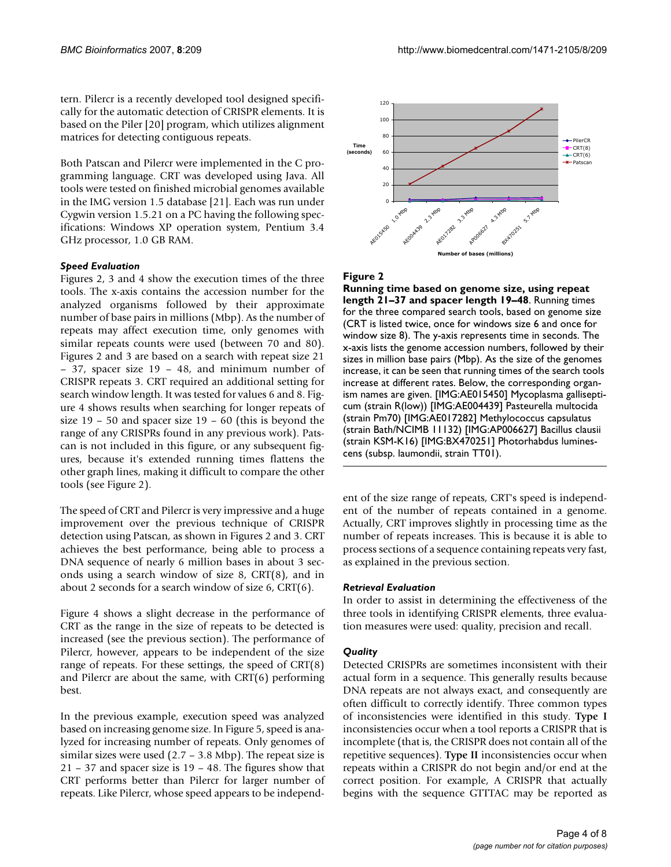tern. Pilercr is a recently developed tool designed specifically for the automatic detection of CRISPR elements. It is based on the Piler [20] program, which utilizes alignment matrices for detecting contiguous repeats.

Both Patscan and Pilercr were implemented in the C programming language. CRT was developed using Java. All tools were tested on finished microbial genomes available in the IMG version 1.5 database [21]. Each was run under Cygwin version 1.5.21 on a PC having the following specifications: Windows XP operation system, Pentium 3.4 GHz processor, 1.0 GB RAM.

#### *Speed Evaluation*

Figures 2, 3 and 4 show the execution times of the three tools. The x-axis contains the accession number for the analyzed organisms followed by their approximate number of base pairs in millions (Mbp). As the number of repeats may affect execution time, only genomes with similar repeats counts were used (between 70 and 80). Figures 2 and 3 are based on a search with repeat size 21 – 37, spacer size 19 – 48, and minimum number of CRISPR repeats 3. CRT required an additional setting for search window length. It was tested for values 6 and 8. Figure 4 shows results when searching for longer repeats of size 19 – 50 and spacer size 19 – 60 (this is beyond the range of any CRISPRs found in any previous work). Patscan is not included in this figure, or any subsequent figures, because it's extended running times flattens the other graph lines, making it difficult to compare the other tools (see Figure 2).

The speed of CRT and Pilercr is very impressive and a huge improvement over the previous technique of CRISPR detection using Patscan, as shown in Figures 2 and 3. CRT achieves the best performance, being able to process a DNA sequence of nearly 6 million bases in about 3 seconds using a search window of size 8, CRT(8), and in about 2 seconds for a search window of size 6, CRT(6).

Figure 4 shows a slight decrease in the performance of CRT as the range in the size of repeats to be detected is increased (see the previous section). The performance of Pilercr, however, appears to be independent of the size range of repeats. For these settings, the speed of CRT(8) and Pilercr are about the same, with CRT(6) performing best.

In the previous example, execution speed was analyzed based on increasing genome size. In Figure 5, speed is analyzed for increasing number of repeats. Only genomes of similar sizes were used (2.7 – 3.8 Mbp). The repeat size is 21 – 37 and spacer size is 19 – 48. The figures show that CRT performs better than Pilercr for larger number of repeats. Like Pilercr, whose speed appears to be independ-



#### Figure 2

**Running time based on genome size, using repeat length 21–37 and spacer length 19–48**. Running times for the three compared search tools, based on genome size (CRT is listed twice, once for windows size 6 and once for window size 8). The y-axis represents time in seconds. The x-axis lists the genome accession numbers, followed by their sizes in million base pairs (Mbp). As the size of the genomes increase, it can be seen that running times of the search tools increase at different rates. Below, the corresponding organism names are given. [IMG:AE015450] Mycoplasma gallisepticum (strain R(low)) [IMG:AE004439] Pasteurella multocida (strain Pm70) [IMG:AE017282] Methylococcus capsulatus (strain Bath/NCIMB 11132) [IMG:AP006627] Bacillus clausii (strain KSM-K16) [IMG:BX470251] Photorhabdus luminescens (subsp. laumondii, strain TT01).

ent of the size range of repeats, CRT's speed is independent of the number of repeats contained in a genome. Actually, CRT improves slightly in processing time as the number of repeats increases. This is because it is able to process sections of a sequence containing repeats very fast, as explained in the previous section.

#### *Retrieval Evaluation*

In order to assist in determining the effectiveness of the three tools in identifying CRISPR elements, three evaluation measures were used: quality, precision and recall.

#### *Quality*

Detected CRISPRs are sometimes inconsistent with their actual form in a sequence. This generally results because DNA repeats are not always exact, and consequently are often difficult to correctly identify. Three common types of inconsistencies were identified in this study. **Type I** inconsistencies occur when a tool reports a CRISPR that is incomplete (that is, the CRISPR does not contain all of the repetitive sequences). **Type II** inconsistencies occur when repeats within a CRISPR do not begin and/or end at the correct position. For example, A CRISPR that actually begins with the sequence GTTTAC may be reported as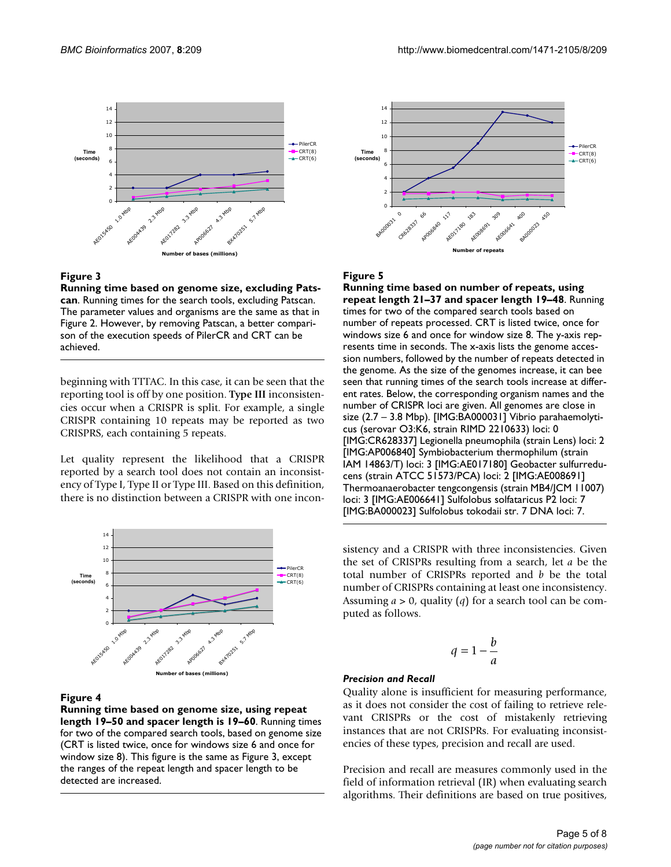

#### **Figure 3**

**Running time based on genome size, excluding Patscan**. Running times for the search tools, excluding Patscan. The parameter values and organisms are the same as that in Figure 2. However, by removing Patscan, a better comparison of the execution speeds of PilerCR and CRT can be achieved.

beginning with TTTAC. In this case, it can be seen that the reporting tool is off by one position. **Type III** inconsistencies occur when a CRISPR is split. For example, a single CRISPR containing 10 repeats may be reported as two CRISPRS, each containing 5 repeats.

Let quality represent the likelihood that a CRISPR reported by a search tool does not contain an inconsistency of Type I, Type II or Type III. Based on this definition, there is no distinction between a CRISPR with one incon-





#### Figure 5

**Running time based on number of repeats, using repeat length 21–37 and spacer length 19–48**. Running times for two of the compared search tools based on number of repeats processed. CRT is listed twice, once for windows size 6 and once for window size 8. The y-axis represents time in seconds. The x-axis lists the genome accession numbers, followed by the number of repeats detected in the genome. As the size of the genomes increase, it can bee seen that running times of the search tools increase at different rates. Below, the corresponding organism names and the number of CRISPR loci are given. All genomes are close in size (2.7 – 3.8 Mbp). [IMG:BA000031] Vibrio parahaemolyticus (serovar O3:K6, strain RIMD 2210633) loci: 0 [IMG:CR628337] Legionella pneumophila (strain Lens) loci: 2 [IMG:AP006840] Symbiobacterium thermophilum (strain IAM 14863/T) loci: 3 [IMG:AE017180] Geobacter sulfurreducens (strain ATCC 51573/PCA) loci: 2 [IMG:AE008691] Thermoanaerobacter tengcongensis (strain MB4/JCM 11007) loci: 3 [IMG:AE006641] Sulfolobus solfataricus P2 loci: 7 [IMG:BA000023] Sulfolobus tokodaii str. 7 DNA loci: 7.

sistency and a CRISPR with three inconsistencies. Given the set of CRISPRs resulting from a search, let *a* be the total number of CRISPRs reported and *b* be the total number of CRISPRs containing at least one inconsistency. Assuming *a* > 0, quality (*q*) for a search tool can be computed as follows.

$$
q = 1 - \frac{b}{a}
$$

#### *Precision and Recall*

Quality alone is insufficient for measuring performance, as it does not consider the cost of failing to retrieve relevant CRISPRs or the cost of mistakenly retrieving instances that are not CRISPRs. For evaluating inconsistencies of these types, precision and recall are used.

> Precision and recall are measures commonly used in the field of information retrieval (IR) when evaluating search algorithms. Their definitions are based on true positives,

#### Figure 4

**Running time based on genome size, using repeat length 19–50 and spacer length is 19–60**. Running times for two of the compared search tools, based on genome size (CRT is listed twice, once for windows size 6 and once for window size 8). This figure is the same as Figure 3, except the ranges of the repeat length and spacer length to be detected are increased.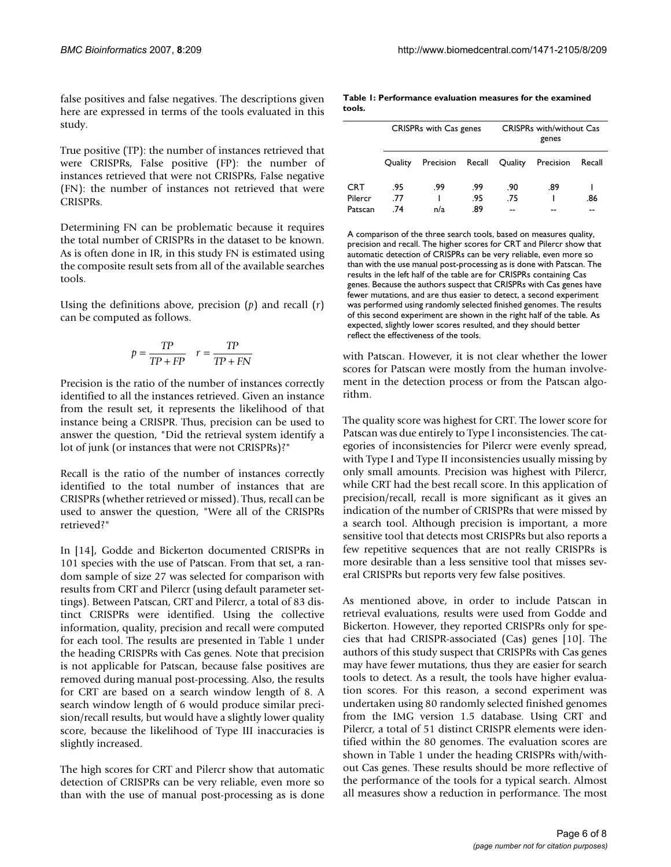false positives and false negatives. The descriptions given here are expressed in terms of the tools evaluated in this study.

True positive (TP): the number of instances retrieved that were CRISPRs, False positive (FP): the number of instances retrieved that were not CRISPRs, False negative (FN): the number of instances not retrieved that were CRISPRs.

Determining FN can be problematic because it requires the total number of CRISPRs in the dataset to be known. As is often done in IR, in this study FN is estimated using the composite result sets from all of the available searches tools.

Using the definitions above, precision (*p*) and recall (*r*) can be computed as follows.

$$
p = \frac{TP}{TP + FP} \quad r = \frac{TP}{TP + FN}
$$

Precision is the ratio of the number of instances correctly identified to all the instances retrieved. Given an instance from the result set, it represents the likelihood of that instance being a CRISPR. Thus, precision can be used to answer the question, "Did the retrieval system identify a lot of junk (or instances that were not CRISPRs)?"

Recall is the ratio of the number of instances correctly identified to the total number of instances that are CRISPRs (whether retrieved or missed). Thus, recall can be used to answer the question, "Were all of the CRISPRs retrieved?"

In [14], Godde and Bickerton documented CRISPRs in 101 species with the use of Patscan. From that set, a random sample of size 27 was selected for comparison with results from CRT and Pilercr (using default parameter settings). Between Patscan, CRT and Pilercr, a total of 83 distinct CRISPRs were identified. Using the collective information, quality, precision and recall were computed for each tool. The results are presented in Table 1 under the heading CRISPRs with Cas genes. Note that precision is not applicable for Patscan, because false positives are removed during manual post-processing. Also, the results for CRT are based on a search window length of 8. A search window length of 6 would produce similar precision/recall results, but would have a slightly lower quality score, because the likelihood of Type III inaccuracies is slightly increased.

The high scores for CRT and Pilercr show that automatic detection of CRISPRs can be very reliable, even more so than with the use of manual post-processing as is done **Table 1: Performance evaluation measures for the examined tools.**

|            | CRISPRs with Cas genes |                  |     | <b>CRISPRs with/without Cas</b><br>genes |           |        |
|------------|------------------------|------------------|-----|------------------------------------------|-----------|--------|
|            | <b>Quality</b>         | Precision Recall |     | <b>Quality</b>                           | Precision | Recall |
| <b>CRT</b> | .95                    | .99              | .99 | .90                                      | .89       |        |
| Pilercr    | .77                    |                  | .95 | .75                                      |           | .86    |
| Patscan    | .74                    | n/a              | .89 |                                          |           |        |

A comparison of the three search tools, based on measures quality, precision and recall. The higher scores for CRT and Pilercr show that automatic detection of CRISPRs can be very reliable, even more so than with the use manual post-processing as is done with Patscan. The results in the left half of the table are for CRISPRs containing Cas genes. Because the authors suspect that CRISPRs with Cas genes have fewer mutations, and are thus easier to detect, a second experiment was performed using randomly selected finished genomes. The results of this second experiment are shown in the right half of the table. As expected, slightly lower scores resulted, and they should better reflect the effectiveness of the tools.

with Patscan. However, it is not clear whether the lower scores for Patscan were mostly from the human involvement in the detection process or from the Patscan algorithm.

The quality score was highest for CRT. The lower score for Patscan was due entirely to Type I inconsistencies. The categories of inconsistencies for Pilercr were evenly spread, with Type I and Type II inconsistencies usually missing by only small amounts. Precision was highest with Pilercr, while CRT had the best recall score. In this application of precision/recall, recall is more significant as it gives an indication of the number of CRISPRs that were missed by a search tool. Although precision is important, a more sensitive tool that detects most CRISPRs but also reports a few repetitive sequences that are not really CRISPRs is more desirable than a less sensitive tool that misses several CRISPRs but reports very few false positives.

As mentioned above, in order to include Patscan in retrieval evaluations, results were used from Godde and Bickerton. However, they reported CRISPRs only for species that had CRISPR-associated (Cas) genes [10]. The authors of this study suspect that CRISPRs with Cas genes may have fewer mutations, thus they are easier for search tools to detect. As a result, the tools have higher evaluation scores. For this reason, a second experiment was undertaken using 80 randomly selected finished genomes from the IMG version 1.5 database. Using CRT and Pilercr, a total of 51 distinct CRISPR elements were identified within the 80 genomes. The evaluation scores are shown in Table 1 under the heading CRISPRs with/without Cas genes. These results should be more reflective of the performance of the tools for a typical search. Almost all measures show a reduction in performance. The most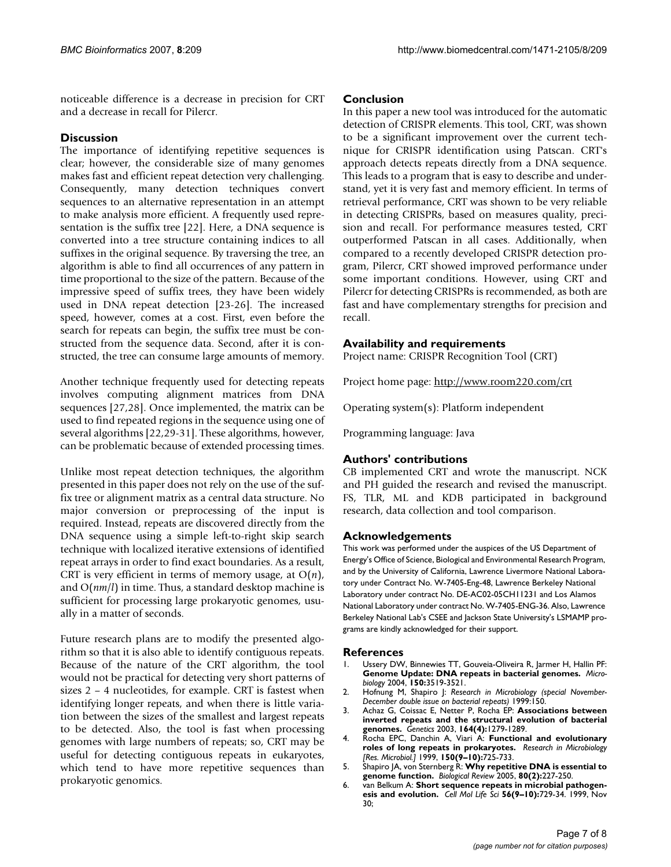noticeable difference is a decrease in precision for CRT and a decrease in recall for Pilercr.

### **Discussion**

The importance of identifying repetitive sequences is clear; however, the considerable size of many genomes makes fast and efficient repeat detection very challenging. Consequently, many detection techniques convert sequences to an alternative representation in an attempt to make analysis more efficient. A frequently used representation is the suffix tree [22]. Here, a DNA sequence is converted into a tree structure containing indices to all suffixes in the original sequence. By traversing the tree, an algorithm is able to find all occurrences of any pattern in time proportional to the size of the pattern. Because of the impressive speed of suffix trees, they have been widely used in DNA repeat detection [23-26]. The increased speed, however, comes at a cost. First, even before the search for repeats can begin, the suffix tree must be constructed from the sequence data. Second, after it is constructed, the tree can consume large amounts of memory.

Another technique frequently used for detecting repeats involves computing alignment matrices from DNA sequences [27,28]. Once implemented, the matrix can be used to find repeated regions in the sequence using one of several algorithms [22,29-31]. These algorithms, however, can be problematic because of extended processing times.

Unlike most repeat detection techniques, the algorithm presented in this paper does not rely on the use of the suffix tree or alignment matrix as a central data structure. No major conversion or preprocessing of the input is required. Instead, repeats are discovered directly from the DNA sequence using a simple left-to-right skip search technique with localized iterative extensions of identified repeat arrays in order to find exact boundaries. As a result, CRT is very efficient in terms of memory usage, at  $O(n)$ , and O(*nm*/*l*) in time. Thus, a standard desktop machine is sufficient for processing large prokaryotic genomes, usually in a matter of seconds.

Future research plans are to modify the presented algorithm so that it is also able to identify contiguous repeats. Because of the nature of the CRT algorithm, the tool would not be practical for detecting very short patterns of sizes 2 – 4 nucleotides, for example. CRT is fastest when identifying longer repeats, and when there is little variation between the sizes of the smallest and largest repeats to be detected. Also, the tool is fast when processing genomes with large numbers of repeats; so, CRT may be useful for detecting contiguous repeats in eukaryotes, which tend to have more repetitive sequences than prokaryotic genomics.

#### **Conclusion**

In this paper a new tool was introduced for the automatic detection of CRISPR elements. This tool, CRT, was shown to be a significant improvement over the current technique for CRISPR identification using Patscan. CRT's approach detects repeats directly from a DNA sequence. This leads to a program that is easy to describe and understand, yet it is very fast and memory efficient. In terms of retrieval performance, CRT was shown to be very reliable in detecting CRISPRs, based on measures quality, precision and recall. For performance measures tested, CRT outperformed Patscan in all cases. Additionally, when compared to a recently developed CRISPR detection program, Pilercr, CRT showed improved performance under some important conditions. However, using CRT and Pilercr for detecting CRISPRs is recommended, as both are fast and have complementary strengths for precision and recall.

#### **Availability and requirements**

Project name: CRISPR Recognition Tool (CRT)

Project home page:<http://www.room220.com/crt>

Operating system(s): Platform independent

Programming language: Java

#### **Authors' contributions**

CB implemented CRT and wrote the manuscript. NCK and PH guided the research and revised the manuscript. FS, TLR, ML and KDB participated in background research, data collection and tool comparison.

#### **Acknowledgements**

This work was performed under the auspices of the US Department of Energy's Office of Science, Biological and Environmental Research Program, and by the University of California, Lawrence Livermore National Laboratory under Contract No. W-7405-Eng-48, Lawrence Berkeley National Laboratory under contract No. DE-AC02-05CH11231 and Los Alamos National Laboratory under contract No. W-7405-ENG-36. Also, Lawrence Berkeley National Lab's CSEE and Jackson State University's LSMAMP programs are kindly acknowledged for their support.

#### **References**

- 1. Ussery DW, Binnewies TT, Gouveia-Oliveira R, Jarmer H, Hallin PF: **[Genome Update: DNA repeats in bacterial genomes.](http://www.ncbi.nlm.nih.gov/entrez/query.fcgi?cmd=Retrieve&db=PubMed&dopt=Abstract&list_uids=15528640)** *Microbiology* 2004, **150:**3519-3521.
- 2. Hofnung M, Shapiro J: *Research in Microbiology (special November-December double issue on bacterial repeats)* 1999:150.
- 3. Achaz G, Coissac E, Netter P, Rocha EP: **[Associations between](http://www.ncbi.nlm.nih.gov/entrez/query.fcgi?cmd=Retrieve&db=PubMed&dopt=Abstract&list_uids=12930739) [inverted repeats and the structural evolution of bacterial](http://www.ncbi.nlm.nih.gov/entrez/query.fcgi?cmd=Retrieve&db=PubMed&dopt=Abstract&list_uids=12930739) [genomes.](http://www.ncbi.nlm.nih.gov/entrez/query.fcgi?cmd=Retrieve&db=PubMed&dopt=Abstract&list_uids=12930739)** *Genetics* 2003, **164(4):**1279-1289.
- 4. Rocha EPC, Danchin A, Viari A: **Functional and evolutionary roles of long repeats in prokaryotes.** *Research in Microbiology [Res. Microbiol.]* 1999, **150(9–10):**725-733.
- 5. Shapiro JA, von Sternberg R: **Why repetitive DNA is essential to genome function.** *Biological Review* 2005, **80(2):**227-250.
- 6. van Belkum A: **[Short sequence repeats in microbial pathogen](http://www.ncbi.nlm.nih.gov/entrez/query.fcgi?cmd=Retrieve&db=PubMed&dopt=Abstract&list_uids=11212332)[esis and evolution.](http://www.ncbi.nlm.nih.gov/entrez/query.fcgi?cmd=Retrieve&db=PubMed&dopt=Abstract&list_uids=11212332)** *Cell Mol Life Sci* **56(9–10):**729-34. 1999, Nov 30;